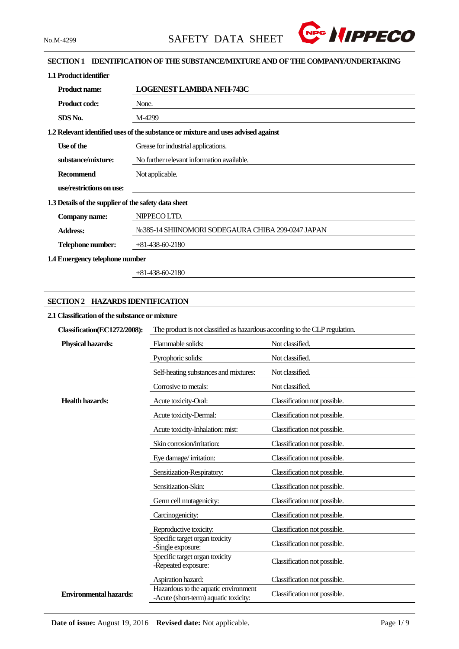

### **SECTION 1 IDENTIFICATION OF THE SUBSTANCE/MIXTURE AND OF THE COMPANY/UNDERTAKING**

| 1.1 Product identifier                               |                                                                                   |
|------------------------------------------------------|-----------------------------------------------------------------------------------|
| <b>Product name:</b>                                 | <b>LOGENEST LAMBDA NFH-743C</b>                                                   |
| <b>Product code:</b>                                 | None.                                                                             |
| SDS No.                                              | M-4299                                                                            |
|                                                      | 1.2 Relevant identified uses of the substance or mixture and uses advised against |
| Use of the                                           | Grease for industrial applications.                                               |
| substance/mixture:                                   | No further relevant information available.                                        |
| <b>Recommend</b>                                     | Not applicable.                                                                   |
| use/restrictions on use:                             |                                                                                   |
| 1.3 Details of the supplier of the safety data sheet |                                                                                   |
| Company name:                                        | NIPPECO LTD.                                                                      |
| <b>Address:</b>                                      | No.385-14 SHIINOMORI SODEGAURA CHIBA 299-0247 JAPAN                               |
| Telephone number:                                    | $+81-438-60-2180$                                                                 |
| 1.4 Emergency telephone number                       |                                                                                   |

+81-438-60-2180

### **SECTION 2 HAZARDS IDENTIFICATION**

#### **2.1 Classification of the substance or mixture**

| Classification(EC1272/2008):  | The product is not classified as hazardous according to the CLP regulation.   |                              |  |  |
|-------------------------------|-------------------------------------------------------------------------------|------------------------------|--|--|
| <b>Physical hazards:</b>      | Flammable solids:                                                             | Not classified.              |  |  |
|                               | Pyrophoric solids:                                                            | Not classified.              |  |  |
|                               | Self-heating substances and mixtures:                                         | Not classified.              |  |  |
|                               | Corrosive to metals:                                                          | Not classified.              |  |  |
| <b>Health hazards:</b>        | Acute toxicity-Oral:                                                          | Classification not possible. |  |  |
|                               | Acute toxicity-Dermal:                                                        | Classification not possible. |  |  |
|                               | Acute toxicity-Inhalation: mist:                                              | Classification not possible. |  |  |
|                               | Skin corrosion/irritation:                                                    | Classification not possible. |  |  |
|                               | Eye damage/irritation:                                                        | Classification not possible. |  |  |
|                               | Sensitization-Respiratory:                                                    | Classification not possible. |  |  |
|                               | Sensitization-Skin:                                                           | Classification not possible. |  |  |
|                               | Germ cell mutagenicity:                                                       | Classification not possible. |  |  |
|                               | Carcinogenicity:                                                              | Classification not possible. |  |  |
|                               | Reproductive toxicity:                                                        | Classification not possible. |  |  |
|                               | Specific target organ toxicity<br>-Single exposure:                           | Classification not possible. |  |  |
|                               | Specific target organ toxicity<br>-Repeated exposure:                         | Classification not possible. |  |  |
|                               | Aspiration hazard:                                                            | Classification not possible. |  |  |
| <b>Environmental hazards:</b> | Hazardous to the aquatic environment<br>-Acute (short-term) aquatic toxicity: | Classification not possible. |  |  |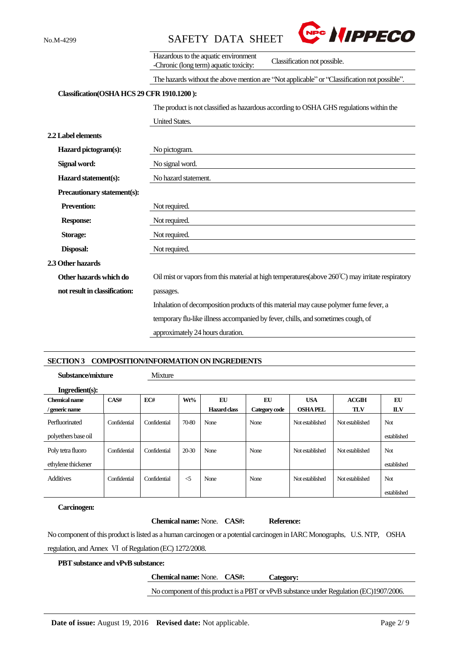

|                                            | Hazardous to the aquatic environment<br>Classification not possible.<br>-Chronic (long term) aquatic toxicity: |
|--------------------------------------------|----------------------------------------------------------------------------------------------------------------|
|                                            | The hazards without the above mention are "Not applicable" or "Classification not possible".                   |
| Classification(OSHA HCS 29 CFR 1910.1200): |                                                                                                                |
|                                            | The product is not classified as hazardous according to OSHA GHS regulations within the                        |
|                                            | <b>United States.</b>                                                                                          |
| 2.2 Label elements                         |                                                                                                                |
| Hazard pictogram(s):                       | No pictogram.                                                                                                  |
| Signal word:                               | No signal word.                                                                                                |
| Hazard statement(s):                       | No hazard statement.                                                                                           |
| Precautionary statement(s):                |                                                                                                                |
| <b>Prevention:</b>                         | Not required.                                                                                                  |
| <b>Response:</b>                           | Not required.                                                                                                  |
| <b>Storage:</b>                            | Not required.                                                                                                  |
| Disposal:                                  | Not required.                                                                                                  |
| 2.3 Other hazards                          |                                                                                                                |
| Other hazards which do                     | Oil mist or vapors from this material at high temperatures (above $260^{\circ}$ C) may irritate respiratory    |
| not result in classification:              | passages.                                                                                                      |
|                                            | Inhalation of decomposition products of this material may cause polymer fume fever, a                          |
|                                            | temporary flu-like illness accompanied by fever, chills, and sometimes cough, of                               |
|                                            | approximately 24 hours duration.                                                                               |
|                                            |                                                                                                                |

#### **SECTION 3 COMPOSITION/INFORMATION ON INGREDIENTS**

**Substance/mixture** Mixture

| Ingradient(s):       |              |              |          |              |               |                 |                 |             |
|----------------------|--------------|--------------|----------|--------------|---------------|-----------------|-----------------|-------------|
| <b>Chemical name</b> | CAS#         | EC#          | Wt%      | EU           | EU            | <b>USA</b>      | ACGIH           | EU          |
| / generic name       |              |              |          | Hazard class | Category code | <b>OSHA PEL</b> | <b>TLV</b>      | <b>ILV</b>  |
| Perfluorinated       | Confidential | Confidential | 70-80    | None         | None          | Not established | Not established | Not         |
| polyethers base oil  |              |              |          |              |               |                 |                 | established |
| Poly tetra fluoro    | Confidential | Confidential | 20-30    | None         | None          | Not established | Not established | Not         |
| ethylene thickener   |              |              |          |              |               |                 |                 | established |
| <b>Additives</b>     | Confidential | Confidential | $\leq$ 5 | None         | None          | Not established | Not established | Not         |
|                      |              |              |          |              |               |                 |                 | established |

# **Carcinogen:**

|                                                                                                                           | <b>Chemical name:</b> None. <b>CAS#:</b>  | Reference: |  |
|---------------------------------------------------------------------------------------------------------------------------|-------------------------------------------|------------|--|
| No component of this product is listed as a human carcinogen or a potential carcinogen in IARC Monographs, U.S. NTP, OSHA |                                           |            |  |
| regulation, and Annex VI of Regulation (EC) 1272/2008.                                                                    |                                           |            |  |
| <b>PBT</b> substance and vPvB substance:                                                                                  |                                           |            |  |
|                                                                                                                           | <b>Chemical name:</b> None. <b>CAS#</b> : | Category:  |  |

No component of this product is a PBT or vPvB substance under Regulation (EC)1907/2006.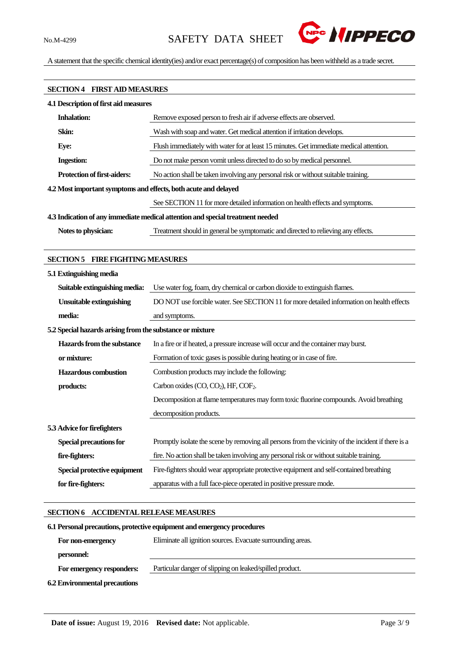

A statement that the specific chemical identity(ies) and/or exact percentage(s) of composition has been withheld as a trade secret.

# **SECTION 4 FIRST AID MEASURES 4.1 Description of first aid measures Inhalation:** Remove exposed person to fresh air if adverse effects are observed. **Skin:** Wash with soap and water. Get medical attention if irritation develops. **Eye:** Flush immediately with water for at least 15 minutes. Get immediate medical attention. **Ingestion:** Do not make person vomit unless directed to do so by medical personnel. **Protection of first-aiders:** No action shall be taken involving any personal risk or without suitable training. **4.2Most important symptoms and effects, both acute and delayed** See SECTION 11 for more detailed information on health effects and symptoms. **4.3 Indication of any immediate medical attention and special treatment needed Notes to physician:** Treatment should in general be symptomatic and directed to relieving any effects.

#### **SECTION 5 FIRE FIGHTING MEASURES**

| 5.1 Extinguishing media                                   |                                                                                                    |
|-----------------------------------------------------------|----------------------------------------------------------------------------------------------------|
| Suitable extinguishing media:                             | Use water fog, foam, dry chemical or carbon dioxide to extinguish flames.                          |
| <b>Unsuitable extinguishing</b>                           | DO NOT use forcible water. See SECTION 11 for more detailed information on health effects          |
| media:                                                    | and symptoms.                                                                                      |
| 5.2 Special hazards arising from the substance or mixture |                                                                                                    |
| Hazards from the substance                                | In a fire or if heated, a pressure increase will occur and the container may burst.                |
| or mixture:                                               | Formation of toxic gases is possible during heating or in case of fire.                            |
| <b>Hazardous combustion</b>                               | Combustion products may include the following:                                                     |
| products:                                                 | Carbon oxides $(CO, CO2)$ , HF, $COF2$ .                                                           |
|                                                           | Decomposition at flame temperatures may form toxic fluorine compounds. Avoid breathing             |
|                                                           | decomposition products.                                                                            |
| 5.3 Advice for firefighters                               |                                                                                                    |
| Special precautions for                                   | Promptly isolate the scene by removing all persons from the vicinity of the incident if there is a |
| fire-fighters:                                            | fire. No action shall be taken involving any personal risk or without suitable training.           |
| Special protective equipment                              | Fire-fighters should wear appropriate protective equipment and self-contained breathing            |
| for fire-fighters:                                        | apparatus with a full face-piece operated in positive pressure mode.                               |

#### **SECTION 6 ACCIDENTAL RELEASE MEASURES**

# **6.1Personal precautions, protective equipment and emergency procedures For non-emergency personnel:** Eliminate all ignition sources. Evacuate surrounding areas.  **For emergency responders:** Particular danger of slipping on leaked/spilled product. **6.2 Environmental precautions**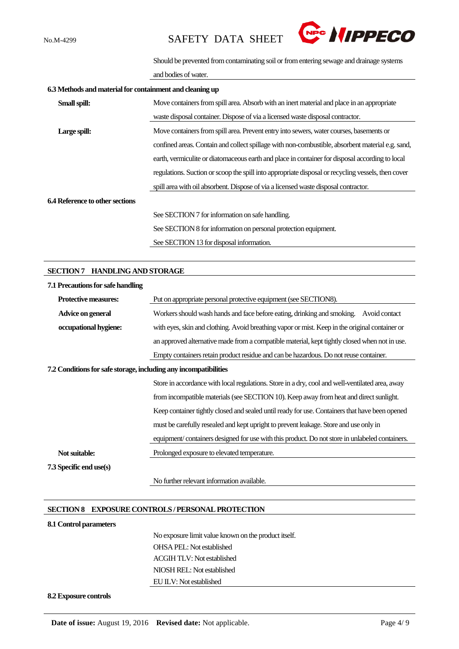

Should be prevented from contaminating soil or from entering sewage and drainage systems

and bodies of water.

| 6.3 Methods and material for containment and cleaning up |                                                                                                    |  |  |  |  |
|----------------------------------------------------------|----------------------------------------------------------------------------------------------------|--|--|--|--|
| Small spill:                                             | Move containers from spill area. Absorb with an inert material and place in an appropriate         |  |  |  |  |
|                                                          | waste disposal container. Dispose of via a licensed waste disposal contractor.                     |  |  |  |  |
| Large spill:                                             | Move containers from spill area. Prevent entry into sewers, water courses, basements or            |  |  |  |  |
|                                                          | confined areas. Contain and collect spillage with non-combustible, absorbent material e.g. sand,   |  |  |  |  |
|                                                          | earth, vermiculite or diatomaceous earth and place in container for disposal according to local    |  |  |  |  |
|                                                          | regulations. Suction or scoop the spill into appropriate disposal or recycling vessels, then cover |  |  |  |  |
|                                                          | spill area with oil absorbent. Dispose of via a licensed waste disposal contractor.                |  |  |  |  |
| 6.4 Reference to other sections                          |                                                                                                    |  |  |  |  |
|                                                          | See SECTION 7 for information on safe handling.                                                    |  |  |  |  |
|                                                          | See SECTION 8 for information on personal protection equipment.                                    |  |  |  |  |
|                                                          | See SECTION 13 for disposal information.                                                           |  |  |  |  |

#### **SECTION 7 HANDLING AND STORAGE**

| 7.1 Precautions for safe handling                                |                                                                                                 |
|------------------------------------------------------------------|-------------------------------------------------------------------------------------------------|
| <b>Protective measures:</b>                                      | Put on appropriate personal protective equipment (see SECTION8).                                |
| Advice on general                                                | Workers should wash hands and face before eating, drinking and smoking.<br>Avoid contact        |
| occupational hygiene:                                            | with eyes, skin and clothing. Avoid breathing vapor or mist. Keep in the original container or  |
|                                                                  | an approved alternative made from a compatible material, kept tightly closed when not in use.   |
|                                                                  | Empty containers retain product residue and can be hazardous. Do not reuse container.           |
| 7.2 Conditions for safe storage, including any incompatibilities |                                                                                                 |
|                                                                  | Store in accordance with local regulations. Store in a dry, cool and well-ventilated area, away |
|                                                                  | from incompatible materials (see SECTION 10). Keep away from heat and direct sunlight.          |
|                                                                  | Keep container tightly closed and sealed until ready for use. Containers that have been opened  |
|                                                                  | must be carefully resealed and kept upright to prevent leakage. Store and use only in           |
|                                                                  | equipment/containers designed for use with this product. Do not store in unlabeled containers.  |
| Not suitable:                                                    | Prolonged exposure to elevated temperature.                                                     |
| 7.3 Specific end use(s)                                          |                                                                                                 |
|                                                                  | No further relevant information available.                                                      |

#### **SECTION 8 EXPOSURE CONTROLS / PERSONAL PROTECTION**

#### **8.1 Control parameters**

No exposure limit value known on the product itself. OHSA PEL: Not established ACGIH TLV: Not established NIOSH REL: Not established EU ILV: Not established

#### **8.2 Exposure controls**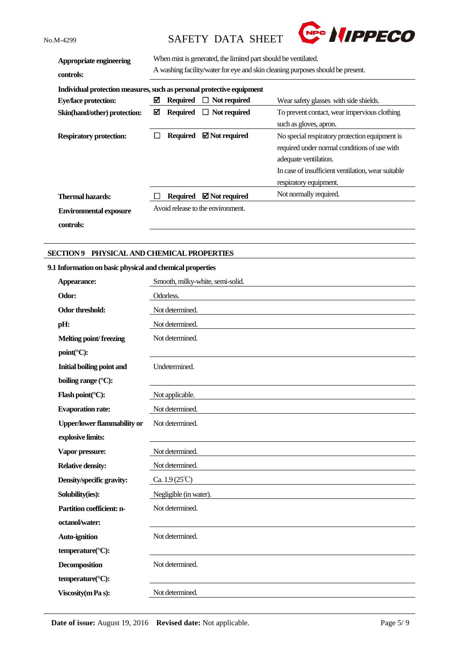

| Appropriate engineering<br>controls:                                  | When mist is generated, the limited part should be ventilated.<br>A washing facility/water for eye and skin cleaning purposes should be present. |                 |                                   |                                                    |
|-----------------------------------------------------------------------|--------------------------------------------------------------------------------------------------------------------------------------------------|-----------------|-----------------------------------|----------------------------------------------------|
| Individual protection measures, such as personal protective equipment |                                                                                                                                                  |                 |                                   |                                                    |
| <b>Eye/face protection:</b>                                           | ⊠                                                                                                                                                | <b>Required</b> | $\Box$ Not required               | Wear safety glasses with side shields.             |
| Skin(hand/other) protection:                                          | ⊠                                                                                                                                                | Required        | $\Box$ Not required               | To prevent contact, wear impervious clothing       |
|                                                                       |                                                                                                                                                  |                 |                                   | such as gloves, apron.                             |
| <b>Respiratory protection:</b>                                        |                                                                                                                                                  | <b>Required</b> | $\boxtimes$ Not required          | No special respiratory protection equipment is     |
|                                                                       |                                                                                                                                                  |                 |                                   | required under normal conditions of use with       |
|                                                                       |                                                                                                                                                  |                 |                                   | adequate ventilation.                              |
|                                                                       |                                                                                                                                                  |                 |                                   | In case of insufficient ventilation, wear suitable |
|                                                                       |                                                                                                                                                  |                 |                                   | respiratory equipment.                             |
| Thermal hazards:                                                      |                                                                                                                                                  | <b>Required</b> | $\boxtimes$ Not required          | Not normally required.                             |
| <b>Environmental exposure</b>                                         |                                                                                                                                                  |                 | Avoid release to the environment. |                                                    |
| controls:                                                             |                                                                                                                                                  |                 |                                   |                                                    |

### **SECTION 9 PHYSICAL AND CHEMICAL PROPERTIES**

#### **9.1 Information on basic physical and chemical properties**

| Appearance:                        | Smooth, milky-white, semi-solid. |
|------------------------------------|----------------------------------|
| Odor:                              | Odorless.                        |
| Odor threshold:                    | Not determined.                  |
| pH:                                | Not determined.                  |
| <b>Melting point/freezing</b>      | Not determined.                  |
| point(°C):                         |                                  |
| <b>Initial boiling point and</b>   | Undetermined.                    |
| boiling range (°C):                |                                  |
| Flash point( $°C$ ):               | Not applicable.                  |
| <b>Evaporation rate:</b>           | Not determined.                  |
| <b>Upper/lower flammability or</b> | Not determined.                  |
| explosive limits:                  |                                  |
| Vapor pressure:                    | Not determined.                  |
| <b>Relative density:</b>           | Not determined.                  |
| Density/specific gravity:          | Ca. $1.9(25^{\circ}\text{C})$    |
| Solubility(ies):                   | Negligible (in water).           |
| Partition coefficient: n-          | Not determined.                  |
| octanol/water:                     |                                  |
| <b>Auto-ignition</b>               | Not determined.                  |
| temperature(°C):                   |                                  |
| <b>Decomposition</b>               | Not determined.                  |
| temperature(°C):                   |                                  |
| Viscosity (m Pa s):                | Not determined.                  |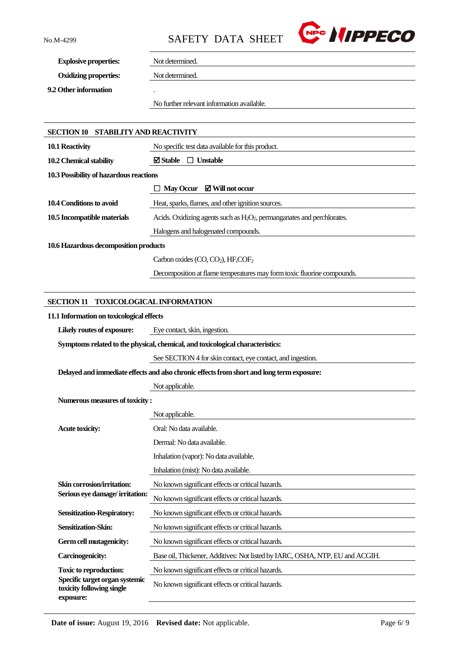

**Explosive properties:** Not determined.

**Oxidizing properties:** Not determined.

**9.2 Other information** .

No further relevant information available.

| SECTION 10 STABILITY AND REACTIVITY                                      |                                                                                           |
|--------------------------------------------------------------------------|-------------------------------------------------------------------------------------------|
| 10.1 Reactivity                                                          | No specific test data available for this product.                                         |
| 10.2 Chemical stability                                                  | $\boxtimes$ Stable<br>$\Box$ Unstable                                                     |
| 10.3 Possibility of hazardous reactions                                  |                                                                                           |
|                                                                          | May Occur ⊠ Will not occur                                                                |
| 10.4 Conditions to avoid                                                 | Heat, sparks, flames, and other ignition sources.                                         |
| 10.5 Incompatible materials                                              | Acids. Oxidizing agents such as $H_2O_2$ , permanganates and perchlorates.                |
|                                                                          | Halogens and halogenated compounds.                                                       |
| 10.6 Hazardous decomposition products                                    |                                                                                           |
|                                                                          | Carbon oxides (CO, CO <sub>2</sub> ), HF,COF <sub>2</sub>                                 |
|                                                                          | Decomposition at flame temperatures may form toxic fluorine compounds.                    |
|                                                                          |                                                                                           |
| <b>SECTION 11</b>                                                        | <b>TOXICOLOGICAL INFORMATION</b>                                                          |
| 11.1 Information on toxicological effects                                |                                                                                           |
| Likely routes of exposure:                                               | Eye contact, skin, ingestion.                                                             |
|                                                                          | Symptoms related to the physical, chemical, and toxicological characteristics:            |
|                                                                          | See SECTION 4 for skin contact, eye contact, and ingestion.                               |
|                                                                          | Delayed and immediate effects and also chronic effects from short and long term exposure: |
|                                                                          | Not applicable.                                                                           |
| Numerous measures of toxicity:                                           |                                                                                           |
|                                                                          | Not applicable.                                                                           |
| <b>Acute toxicity:</b>                                                   | Oral: No data available.                                                                  |
|                                                                          | Dermal: No data available.                                                                |
|                                                                          | Inhalation (vapor): No data available.                                                    |
|                                                                          | Inhalation (mist): No data available.                                                     |
| Skin corrosion/irritation:                                               | No known significant effects or critical hazards.                                         |
| Serious eye damage/irritation:                                           | No known significant effects or critical hazards.                                         |
| <b>Sensitization-Respiratory:</b>                                        | No known significant effects or critical hazards.                                         |
| <b>Sensitization-Skin:</b>                                               | No known significant effects or critical hazards.                                         |
| Germ cell mutagenicity:                                                  | No known significant effects or critical hazards.                                         |
| <b>Carcinogenicity:</b>                                                  | Base oil, Thickener, Additives: Not listed by IARC, OSHA, NTP, EU and ACGIH.              |
| <b>Toxic to reproduction:</b>                                            | No known significant effects or critical hazards.                                         |
| Specific target organ systemic<br>toxicity following single<br>exposure: | No known significant effects or critical hazards.                                         |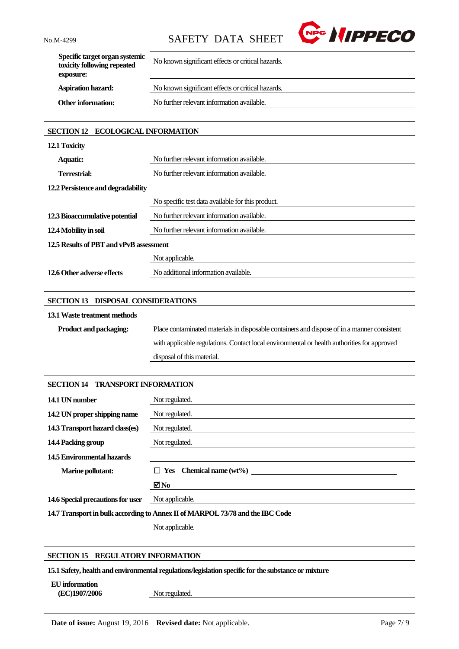

| Specific target organ systemic<br>toxicity following repeated<br>exposure: | No known significant effects or critical hazards. |
|----------------------------------------------------------------------------|---------------------------------------------------|
| <b>Aspiration hazard:</b>                                                  | No known significant effects or critical hazards. |
| <b>Other information:</b>                                                  | No further relevant information available.        |
|                                                                            |                                                   |

# **SECTION 12 ECOLOGICAL INFORMATION**

| 12.1 Toxicity                           |                                                   |  |
|-----------------------------------------|---------------------------------------------------|--|
| <b>Aquatic:</b>                         | No further relevant information available.        |  |
| <b>Terrestrial:</b>                     | No further relevant information available.        |  |
| 12.2 Persistence and degradability      |                                                   |  |
|                                         | No specific test data available for this product. |  |
| 12.3 Bioaccumulative potential          | No further relevant information available.        |  |
| 12.4 Mobility in soil                   | No further relevant information available.        |  |
| 12.5 Results of PBT and vPvB assessment |                                                   |  |
|                                         | Not applicable.                                   |  |
| 12.6 Other adverse effects              | No additional information available.              |  |

### **SECTION 13 DISPOSAL CONSIDERATIONS**

#### **13.1Waste treatment methods**

| <b>Product and packaging:</b> | Place contaminated materials in disposable containers and dispose of in a manner consistent |
|-------------------------------|---------------------------------------------------------------------------------------------|
|                               | with applicable regulations. Contact local environmental or health authorities for approved |
|                               | disposal of this material.                                                                  |

| <b>SECTION 14 TRANSPORT INFORMATION</b>                                       |                                |
|-------------------------------------------------------------------------------|--------------------------------|
| 14.1 UN number                                                                | Not regulated.                 |
| 14.2 UN proper shipping name                                                  | Not regulated.                 |
| 14.3 Transport hazard class(es)                                               | Not regulated.                 |
| 14.4 Packing group                                                            | Not regulated.                 |
| 14.5 Environmental hazards                                                    |                                |
| <b>Marine pollutant:</b>                                                      | $\Box$ Yes Chemical name (wt%) |
|                                                                               | ⊠No                            |
| 14.6 Special precautions for user                                             | Not applicable.                |
| 14.7 Transport in bulk according to Annex II of MARPOL 73/78 and the IBC Code |                                |

Not applicable.

#### **SECTION 15 REGULATORY INFORMATION**

**15.1 Safety, health and environmental regulations/legislation specific for the substance or mixture**

**EU information**

**(EC)1907/2006** Not regulated.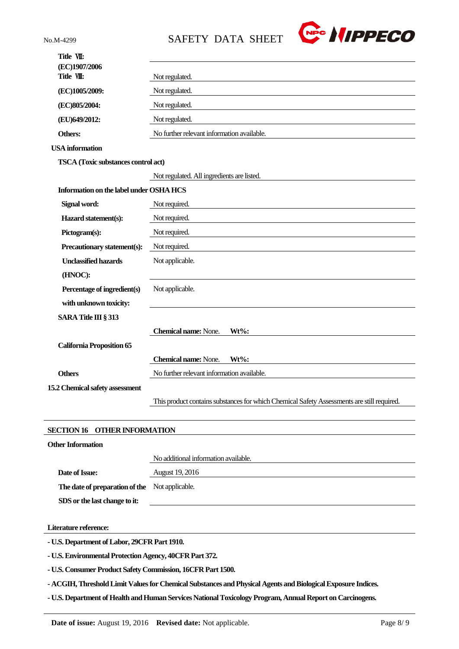

| (EC)1907/2006<br>Title VII:<br>Not regulated.<br>Not regulated.<br>(EC)1005/2009:<br>Not regulated.<br>(EC)805/2004:<br>(EU)649/2012:<br>Not regulated.<br>No further relevant information available.<br>Others:<br><b>USA</b> information<br><b>TSCA</b> (Toxic substances control act)<br>Not regulated. All ingredients are listed.<br>Information on the label under OSHA HCS<br>Signal word:<br>Not required.<br>Hazard statement(s):<br>Not required.<br>Pictogram(s):<br>Not required.<br>Precautionary statement(s):<br>Not required.<br><b>Unclassified hazards</b><br>Not applicable.<br>(HNOC):<br>Percentage of ingredient(s)<br>Not applicable.<br>with unknown toxicity:<br>SARA Title III § 313<br><b>Chemical name: None.</b><br>$Wt\%$ :<br><b>California Proposition 65</b><br><b>Chemical name:</b> None.<br>Wt%:<br>No further relevant information available.<br><b>Others</b><br>This product contains substances for which Chemical Safety Assessments are still required. | Title VII:                      |  |
|---------------------------------------------------------------------------------------------------------------------------------------------------------------------------------------------------------------------------------------------------------------------------------------------------------------------------------------------------------------------------------------------------------------------------------------------------------------------------------------------------------------------------------------------------------------------------------------------------------------------------------------------------------------------------------------------------------------------------------------------------------------------------------------------------------------------------------------------------------------------------------------------------------------------------------------------------------------------------------------------------|---------------------------------|--|
|                                                                                                                                                                                                                                                                                                                                                                                                                                                                                                                                                                                                                                                                                                                                                                                                                                                                                                                                                                                                   |                                 |  |
|                                                                                                                                                                                                                                                                                                                                                                                                                                                                                                                                                                                                                                                                                                                                                                                                                                                                                                                                                                                                   |                                 |  |
|                                                                                                                                                                                                                                                                                                                                                                                                                                                                                                                                                                                                                                                                                                                                                                                                                                                                                                                                                                                                   |                                 |  |
|                                                                                                                                                                                                                                                                                                                                                                                                                                                                                                                                                                                                                                                                                                                                                                                                                                                                                                                                                                                                   |                                 |  |
|                                                                                                                                                                                                                                                                                                                                                                                                                                                                                                                                                                                                                                                                                                                                                                                                                                                                                                                                                                                                   |                                 |  |
|                                                                                                                                                                                                                                                                                                                                                                                                                                                                                                                                                                                                                                                                                                                                                                                                                                                                                                                                                                                                   |                                 |  |
|                                                                                                                                                                                                                                                                                                                                                                                                                                                                                                                                                                                                                                                                                                                                                                                                                                                                                                                                                                                                   |                                 |  |
|                                                                                                                                                                                                                                                                                                                                                                                                                                                                                                                                                                                                                                                                                                                                                                                                                                                                                                                                                                                                   |                                 |  |
|                                                                                                                                                                                                                                                                                                                                                                                                                                                                                                                                                                                                                                                                                                                                                                                                                                                                                                                                                                                                   |                                 |  |
|                                                                                                                                                                                                                                                                                                                                                                                                                                                                                                                                                                                                                                                                                                                                                                                                                                                                                                                                                                                                   |                                 |  |
|                                                                                                                                                                                                                                                                                                                                                                                                                                                                                                                                                                                                                                                                                                                                                                                                                                                                                                                                                                                                   |                                 |  |
|                                                                                                                                                                                                                                                                                                                                                                                                                                                                                                                                                                                                                                                                                                                                                                                                                                                                                                                                                                                                   |                                 |  |
|                                                                                                                                                                                                                                                                                                                                                                                                                                                                                                                                                                                                                                                                                                                                                                                                                                                                                                                                                                                                   |                                 |  |
|                                                                                                                                                                                                                                                                                                                                                                                                                                                                                                                                                                                                                                                                                                                                                                                                                                                                                                                                                                                                   |                                 |  |
|                                                                                                                                                                                                                                                                                                                                                                                                                                                                                                                                                                                                                                                                                                                                                                                                                                                                                                                                                                                                   |                                 |  |
|                                                                                                                                                                                                                                                                                                                                                                                                                                                                                                                                                                                                                                                                                                                                                                                                                                                                                                                                                                                                   |                                 |  |
|                                                                                                                                                                                                                                                                                                                                                                                                                                                                                                                                                                                                                                                                                                                                                                                                                                                                                                                                                                                                   |                                 |  |
|                                                                                                                                                                                                                                                                                                                                                                                                                                                                                                                                                                                                                                                                                                                                                                                                                                                                                                                                                                                                   |                                 |  |
|                                                                                                                                                                                                                                                                                                                                                                                                                                                                                                                                                                                                                                                                                                                                                                                                                                                                                                                                                                                                   |                                 |  |
|                                                                                                                                                                                                                                                                                                                                                                                                                                                                                                                                                                                                                                                                                                                                                                                                                                                                                                                                                                                                   |                                 |  |
|                                                                                                                                                                                                                                                                                                                                                                                                                                                                                                                                                                                                                                                                                                                                                                                                                                                                                                                                                                                                   |                                 |  |
|                                                                                                                                                                                                                                                                                                                                                                                                                                                                                                                                                                                                                                                                                                                                                                                                                                                                                                                                                                                                   |                                 |  |
|                                                                                                                                                                                                                                                                                                                                                                                                                                                                                                                                                                                                                                                                                                                                                                                                                                                                                                                                                                                                   |                                 |  |
|                                                                                                                                                                                                                                                                                                                                                                                                                                                                                                                                                                                                                                                                                                                                                                                                                                                                                                                                                                                                   | 15.2 Chemical safety assessment |  |
|                                                                                                                                                                                                                                                                                                                                                                                                                                                                                                                                                                                                                                                                                                                                                                                                                                                                                                                                                                                                   |                                 |  |
|                                                                                                                                                                                                                                                                                                                                                                                                                                                                                                                                                                                                                                                                                                                                                                                                                                                                                                                                                                                                   |                                 |  |

# **SECTION 16 OTHER INFORMATION**

| <b>Other Information</b>                       |                                      |
|------------------------------------------------|--------------------------------------|
|                                                | No additional information available. |
| Date of Issue:                                 | August 19, 2016                      |
| The date of preparation of the Not applicable. |                                      |
| SDS or the last change to it:                  |                                      |
|                                                |                                      |

**Literature reference:**

**- U.S. Department of Labor, 29CFR Part 1910.**

**- U.S. Environmental Protection Agency, 40CFR Part 372.**

**- U.S. Consumer Product Safety Commission, 16CFR Part 1500.**

**- ACGIH, Threshold Limit Values for Chemical Substances and Physical Agents and Biological Exposure Indices.**

**- U.S. Department of Health and Human Services National Toxicology Program, Annual Report on Carcinogens.**